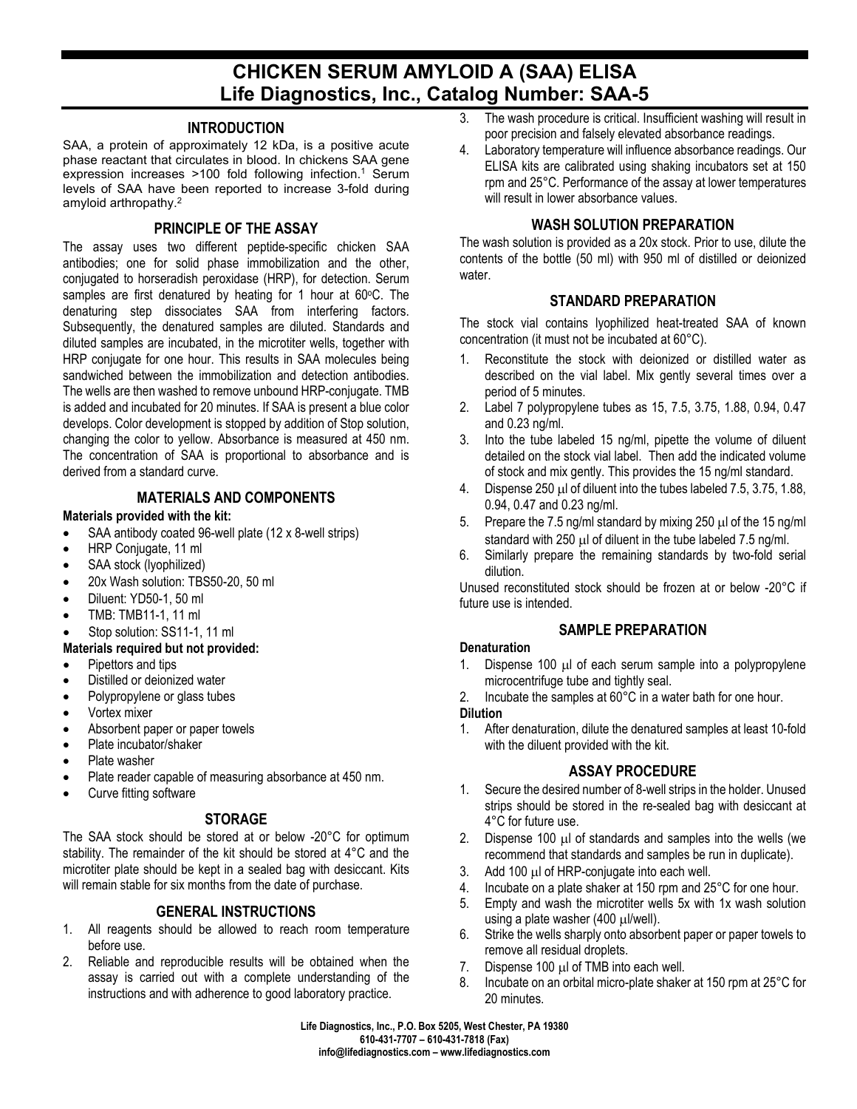# **CHICKEN SERUM AMYLOID A (SAA) ELISA Life Diagnostics, Inc., Catalog Number: SAA-5**

## **INTRODUCTION**

SAA, a protein of approximately 12 kDa, is a positive acute phase reactant that circulates in blood. In chickens SAA gene expression increases >100 fold following infection.<sup>1</sup> Serum levels of SAA have been reported to increase 3-fold during amyloid arthropathy.<sup>2</sup>

## **PRINCIPLE OF THE ASSAY**

The assay uses two different peptide-specific chicken SAA antibodies; one for solid phase immobilization and the other, conjugated to horseradish peroxidase (HRP), for detection. Serum samples are first denatured by heating for 1 hour at 60°C. The denaturing step dissociates SAA from interfering factors. Subsequently, the denatured samples are diluted. Standards and diluted samples are incubated, in the microtiter wells, together with HRP conjugate for one hour. This results in SAA molecules being sandwiched between the immobilization and detection antibodies. The wells are then washed to remove unbound HRP-conjugate. TMB is added and incubated for 20 minutes. If SAA is present a blue color develops. Color development is stopped by addition of Stop solution, changing the color to yellow. Absorbance is measured at 450 nm. The concentration of SAA is proportional to absorbance and is derived from a standard curve.

# **MATERIALS AND COMPONENTS**

#### **Materials provided with the kit:**

- SAA antibody coated 96-well plate (12 x 8-well strips)
- HRP Conjugate, 11 ml
- SAA stock (lyophilized)
- 20x Wash solution: TBS50-20, 50 ml
- Diluent: YD50-1, 50 ml
- TMB: TMB11-1, 11 ml
- Stop solution: SS11-1, 11 ml

#### **Materials required but not provided:**

- Pipettors and tips
- Distilled or deionized water
- Polypropylene or glass tubes
- Vortex mixer
- Absorbent paper or paper towels
- Plate incubator/shaker
- Plate washer
- Plate reader capable of measuring absorbance at 450 nm.
- Curve fitting software

# **STORAGE**

The SAA stock should be stored at or below -20°C for optimum stability. The remainder of the kit should be stored at 4°C and the microtiter plate should be kept in a sealed bag with desiccant. Kits will remain stable for six months from the date of purchase.

# **GENERAL INSTRUCTIONS**

- 1. All reagents should be allowed to reach room temperature before use.
- 2. Reliable and reproducible results will be obtained when the assay is carried out with a complete understanding of the instructions and with adherence to good laboratory practice.
- 3. The wash procedure is critical. Insufficient washing will result in poor precision and falsely elevated absorbance readings.
- 4. Laboratory temperature will influence absorbance readings. Our ELISA kits are calibrated using shaking incubators set at 150 rpm and 25°C. Performance of the assay at lower temperatures will result in lower absorbance values.

# **WASH SOLUTION PREPARATION**

The wash solution is provided as a 20x stock. Prior to use, dilute the contents of the bottle (50 ml) with 950 ml of distilled or deionized water.

# **STANDARD PREPARATION**

The stock vial contains lyophilized heat-treated SAA of known concentration (it must not be incubated at 60°C).

- 1. Reconstitute the stock with deionized or distilled water as described on the vial label. Mix gently several times over a period of 5 minutes.
- 2. Label 7 polypropylene tubes as 15, 7.5, 3.75, 1.88, 0.94, 0.47 and 0.23 ng/ml.
- 3. Into the tube labeled 15 ng/ml, pipette the volume of diluent detailed on the stock vial label. Then add the indicated volume of stock and mix gently. This provides the 15 ng/ml standard.
- 4. Dispense 250 µl of diluent into the tubes labeled 7.5, 3.75, 1.88, 0.94, 0.47 and 0.23 ng/ml.
- 5. Prepare the 7.5 ng/ml standard by mixing 250 µl of the 15 ng/ml standard with 250  $\mu$  of diluent in the tube labeled 7.5 ng/ml.
- 6. Similarly prepare the remaining standards by two-fold serial dilution.

Unused reconstituted stock should be frozen at or below -20°C if future use is intended.

# **SAMPLE PREPARATION**

# **Denaturation**

- 1. Dispense 100 µl of each serum sample into a polypropylene microcentrifuge tube and tightly seal.
- 2. Incubate the samples at  $60^{\circ}$ C in a water bath for one hour.

#### **Dilution**

1. After denaturation, dilute the denatured samples at least 10-fold with the diluent provided with the kit.

# **ASSAY PROCEDURE**

- 1. Secure the desired number of 8-well strips in the holder. Unused strips should be stored in the re-sealed bag with desiccant at 4°C for future use.
- 2. Dispense 100  $\mu$  of standards and samples into the wells (we recommend that standards and samples be run in duplicate).
- 3. Add 100 µl of HRP-conjugate into each well.
- 4. Incubate on a plate shaker at 150 rpm and  $25^{\circ}$ C for one hour.<br>5. Empty and wash the microtiter wells 5x with 1x wash solution
- 5. Empty and wash the microtiter wells 5x with 1x wash solution using a plate washer (400  $\mu$ l/well).
- 6. Strike the wells sharply onto absorbent paper or paper towels to remove all residual droplets.
- 7. Dispense 100 µl of TMB into each well.
- 8. Incubate on an orbital micro-plate shaker at 150 rpm at 25°C for 20 minutes.

**Life Diagnostics, Inc., P.O. Box 5205, West Chester, PA 19380 610-431-7707 – 610-431-7818 (Fax) info@lifediagnostics.com – www.lifediagnostics.com**